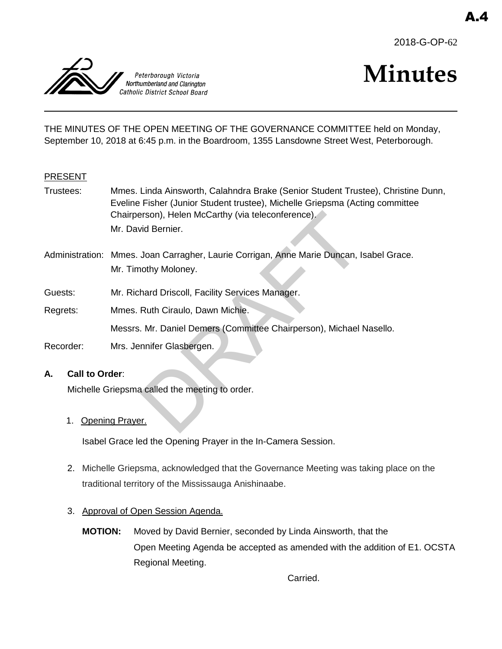



# **Minutes**

THE MINUTES OF THE OPEN MEETING OF THE GOVERNANCE COMMITTEE held on Monday, September 10, 2018 at 6:45 p.m. in the Boardroom, 1355 Lansdowne Street West, Peterborough.

## PRESENT

- Trustees: Mmes. Linda Ainsworth, Calahndra Brake (Senior Student Trustee), Christine Dunn, Eveline Fisher (Junior Student trustee), Michelle Griepsma (Acting committee Chairperson), Helen McCarthy (via teleconference). Mr. David Bernier.
- rson), Helen McCarthy (via teleconference).<br>
vid Bernier.<br>
Joan Carragher, Laurie Corrigan, Anne Marie Duncan, I<br>
oothy Moloney.<br>
hard Driscoll, Facility Services Manager.<br>
Ruth Ciraulo, Dawn Michie.<br>
Mr. Daniel Demers (Co Administration: Mmes. Joan Carragher, Laurie Corrigan, Anne Marie Duncan, Isabel Grace. Mr. Timothy Moloney.
- Guests: Mr. Richard Driscoll, Facility Services Manager.
- Regrets: Mmes. Ruth Ciraulo, Dawn Michie.

Messrs. Mr. Daniel Demers (Committee Chairperson), Michael Nasello.

Recorder: Mrs. Jennifer Glasbergen.

## **A. Call to Order**:

Michelle Griepsma called the meeting to order.

1. Opening Prayer.

Isabel Grace led the Opening Prayer in the In-Camera Session.

- 2. Michelle Griepsma, acknowledged that the Governance Meeting was taking place on the traditional territory of the Mississauga Anishinaabe.
- 3. Approval of Open Session Agenda.
	- **MOTION:** Moved by David Bernier, seconded by Linda Ainsworth, that the Open Meeting Agenda be accepted as amended with the addition of E1. OCSTA Regional Meeting.

Carried.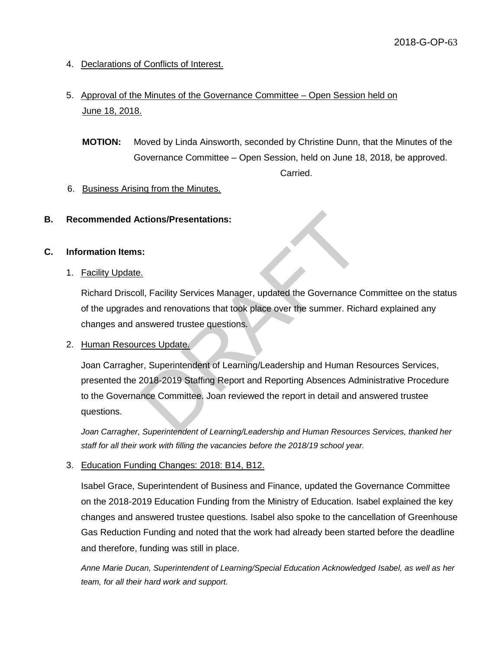- 4. Declarations of Conflicts of Interest.
- 5. Approval of the Minutes of the Governance Committee Open Session held on June 18, 2018.
	- **MOTION:** Moved by Linda Ainsworth, seconded by Christine Dunn, that the Minutes of the Governance Committee – Open Session, held on June 18, 2018, be approved. Carried.
- 6. Business Arising from the Minutes.
- **B. Recommended Actions/Presentations:**

## **C. Information Items:**

1. Facility Update.

Richard Driscoll, Facility Services Manager, updated the Governance Committee on the status of the upgrades and renovations that took place over the summer. Richard explained any changes and answered trustee questions.

2. Human Resources Update.

ctions/Presentations:<br>
S.<br>
S.<br>
L.<br>
II, Facility Services Manager, updated the Governance C<br>
S. and renovations that took place over the summer. Rich<br>
nevered trustee questions.<br>
The summer Richard Committee.<br>
P. Superinten Joan Carragher, Superintendent of Learning/Leadership and Human Resources Services, presented the 2018-2019 Staffing Report and Reporting Absences Administrative Procedure to the Governance Committee. Joan reviewed the report in detail and answered trustee questions.

*Joan Carragher, Superintendent of Learning/Leadership and Human Resources Services, thanked her staff for all their work with filling the vacancies before the 2018/19 school year.* 

3. Education Funding Changes: 2018: B14, B12.

Isabel Grace, Superintendent of Business and Finance, updated the Governance Committee on the 2018-2019 Education Funding from the Ministry of Education. Isabel explained the key changes and answered trustee questions. Isabel also spoke to the cancellation of Greenhouse Gas Reduction Funding and noted that the work had already been started before the deadline and therefore, funding was still in place.

*Anne Marie Ducan, Superintendent of Learning/Special Education Acknowledged Isabel, as well as her team, for all their hard work and support.*